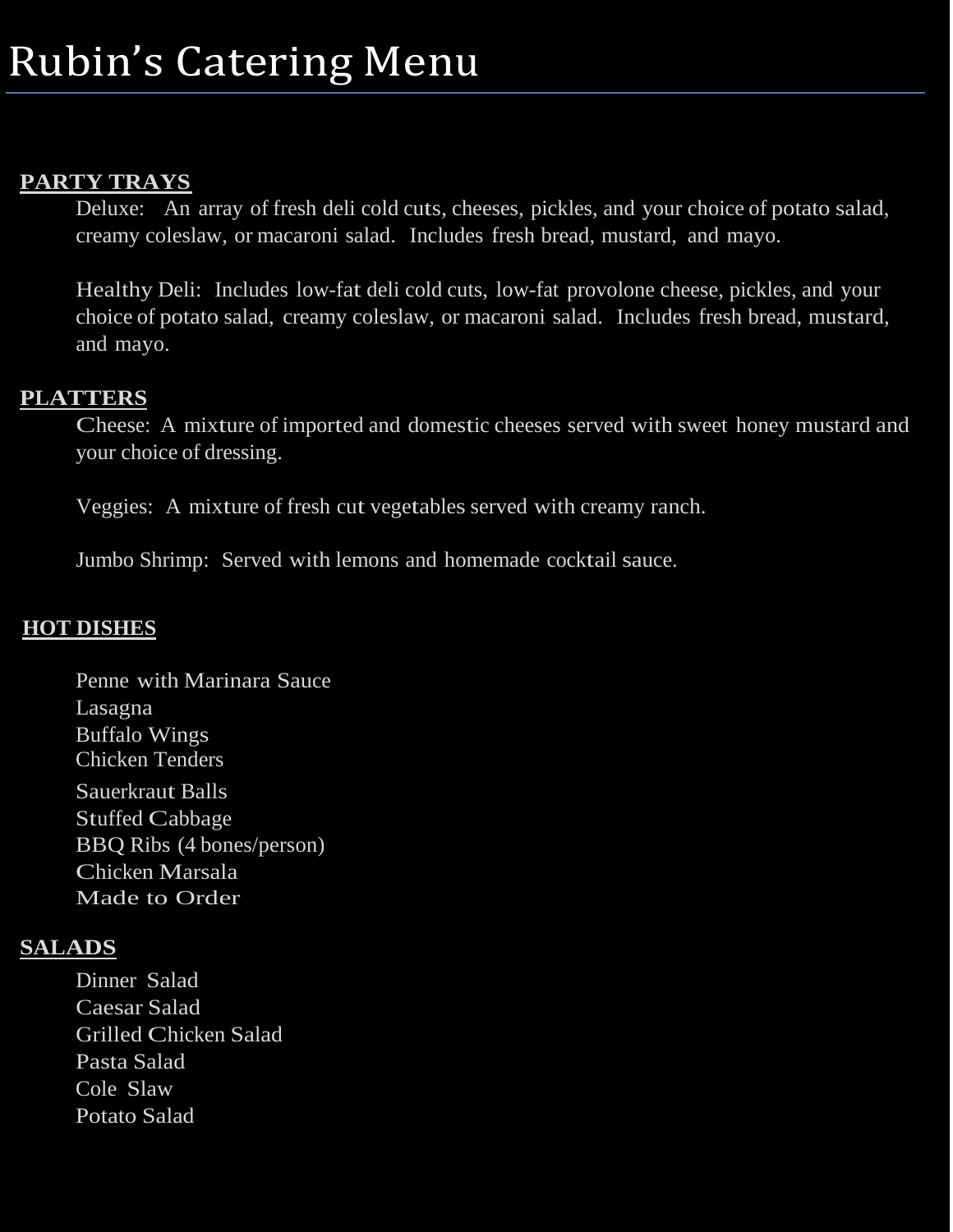### **PARTY TRAYS**

Deluxe: An array of fresh deli cold cuts, cheeses, pickles, and your choice of potato salad, creamy coleslaw, or macaroni salad. Includes fresh bread, mustard, and mayo.

Healthy Deli: Includes low-fat deli cold cuts, low-fat provolone cheese, pickles, and your choice of potato salad, creamy coleslaw, or macaroni salad. Includes fresh bread, mustard, and mayo.

## **PLATTERS**

Cheese: A mixture of imported and domestic cheeses served with sweet honey mustard and your choice of dressing.

Veggies: A mixture of fresh cut vegetables served with creamy ranch.

Jumbo Shrimp: Served with lemons and homemade cocktail sauce.

# **HOT DISHES**

Penne with Marinara Sauce Lasagna Buffalo Wings Chicken Tenders Sauerkraut Balls Stuffed Cabbage BBQ Ribs (4 bones/person) Chicken Marsala Made to Order

## **SALADS**

Dinner Salad Caesar Salad Grilled Chicken Salad Pasta Salad Cole Slaw Potato Salad